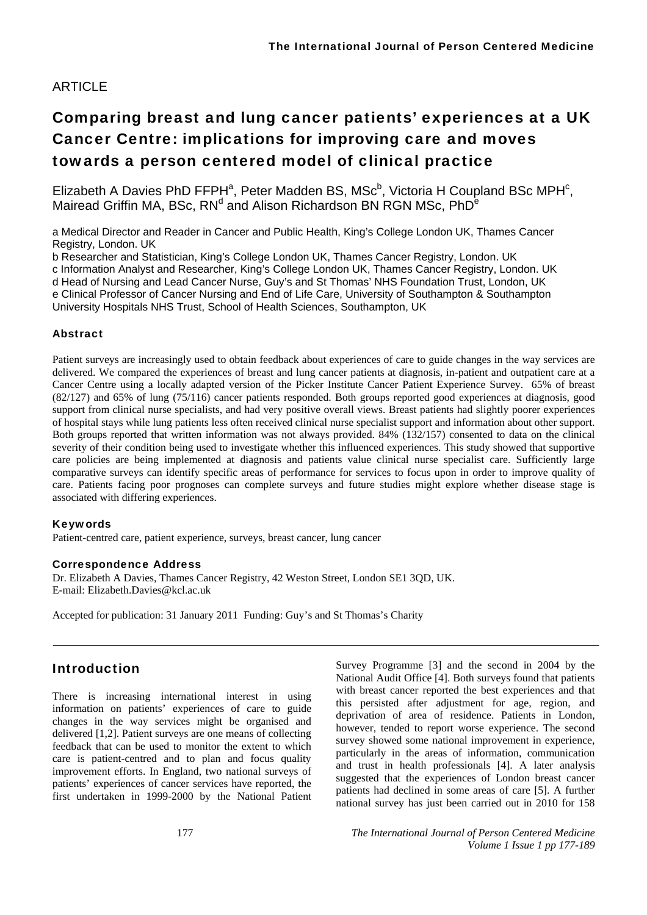# ARTICLE

# Comparing breast and lung cancer patients' experiences at a UK Cancer Centre: implications for improving care and moves towards a person centered model of clinical practice

Elizabeth A Davies PhD FFPH<sup>a</sup>, Peter Madden BS, MS $c<sup>b</sup>$ , Victoria H Coupland BSc MPH<sup>c</sup>, Mairead Griffin MA, BSc, RN<sup>d</sup> and Alison Richardson BN RGN MSc, PhD<sup>e</sup>

a Medical Director and Reader in Cancer and Public Health, King's College London UK, Thames Cancer Registry, London. UK

b Researcher and Statistician, King's College London UK, Thames Cancer Registry, London. UK c Information Analyst and Researcher, King's College London UK, Thames Cancer Registry, London. UK

d Head of Nursing and Lead Cancer Nurse, Guy's and St Thomas' NHS Foundation Trust, London, UK

e Clinical Professor of Cancer Nursing and End of Life Care, University of Southampton & Southampton

University Hospitals NHS Trust, School of Health Sciences, Southampton, UK

### Abstract

Patient surveys are increasingly used to obtain feedback about experiences of care to guide changes in the way services are delivered. We compared the experiences of breast and lung cancer patients at diagnosis, in-patient and outpatient care at a Cancer Centre using a locally adapted version of the Picker Institute Cancer Patient Experience Survey. 65% of breast (82/127) and 65% of lung (75/116) cancer patients responded. Both groups reported good experiences at diagnosis, good support from clinical nurse specialists, and had very positive overall views. Breast patients had slightly poorer experiences of hospital stays while lung patients less often received clinical nurse specialist support and information about other support. Both groups reported that written information was not always provided. 84% (132/157) consented to data on the clinical severity of their condition being used to investigate whether this influenced experiences. This study showed that supportive care policies are being implemented at diagnosis and patients value clinical nurse specialist care. Sufficiently large comparative surveys can identify specific areas of performance for services to focus upon in order to improve quality of care. Patients facing poor prognoses can complete surveys and future studies might explore whether disease stage is associated with differing experiences.

#### Keywords

Patient-centred care, patient experience, surveys, breast cancer, lung cancer

#### Correspondence Address

Dr. Elizabeth A Davies, Thames Cancer Registry, 42 Weston Street, London SE1 3QD, UK. E-mail: Elizabeth.Davies@kcl.ac.uk

Accepted for publication: 31 January 2011 Funding: Guy's and St Thomas's Charity

# Introduction

There is increasing international interest in using information on patients' experiences of care to guide changes in the way services might be organised and delivered [1,2]. Patient surveys are one means of collecting feedback that can be used to monitor the extent to which care is patient-centred and to plan and focus quality improvement efforts. In England, two national surveys of patients' experiences of cancer services have reported, the first undertaken in 1999-2000 by the National Patient Survey Programme [3] and the second in 2004 by the National Audit Office [4]. Both surveys found that patients with breast cancer reported the best experiences and that this persisted after adjustment for age, region, and deprivation of area of residence. Patients in London, however, tended to report worse experience. The second survey showed some national improvement in experience, particularly in the areas of information, communication and trust in health professionals [4]. A later analysis suggested that the experiences of London breast cancer patients had declined in some areas of care [5]. A further national survey has just been carried out in 2010 for 158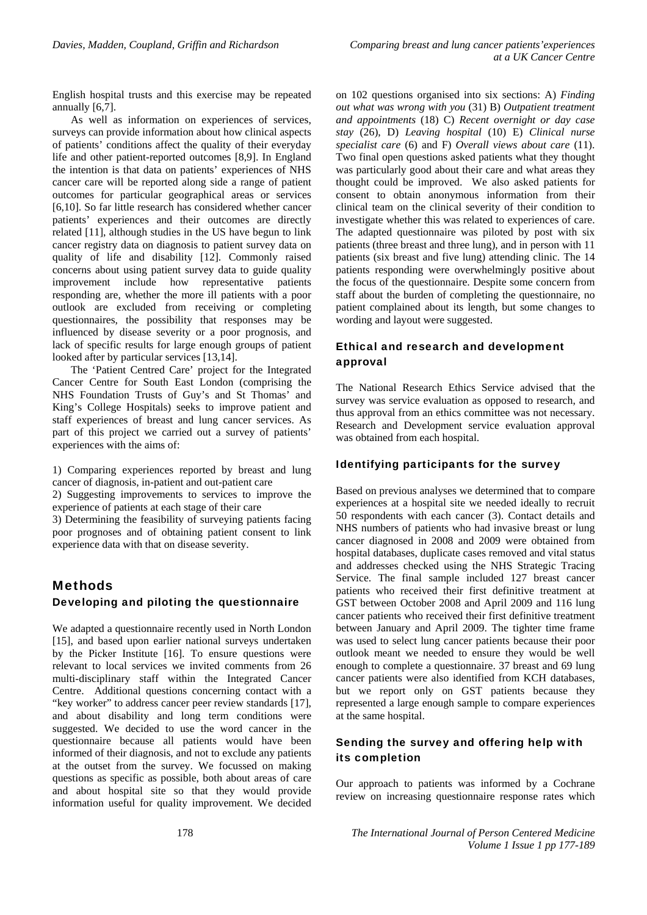English hospital trusts and this exercise may be repeated annually [6,7].

As well as information on experiences of services, surveys can provide information about how clinical aspects of patients' conditions affect the quality of their everyday life and other patient-reported outcomes [8,9]. In England the intention is that data on patients' experiences of NHS cancer care will be reported along side a range of patient outcomes for particular geographical areas or services [6,10]. So far little research has considered whether cancer patients' experiences and their outcomes are directly related [11], although studies in the US have begun to link cancer registry data on diagnosis to patient survey data on quality of life and disability [12]. Commonly raised concerns about using patient survey data to guide quality improvement include how representative patients responding are, whether the more ill patients with a poor outlook are excluded from receiving or completing questionnaires, the possibility that responses may be influenced by disease severity or a poor prognosis, and lack of specific results for large enough groups of patient looked after by particular services [13,14].

The 'Patient Centred Care' project for the Integrated Cancer Centre for South East London (comprising the NHS Foundation Trusts of Guy's and St Thomas' and King's College Hospitals) seeks to improve patient and staff experiences of breast and lung cancer services. As part of this project we carried out a survey of patients' experiences with the aims of:

1) Comparing experiences reported by breast and lung cancer of diagnosis, in-patient and out-patient care

2) Suggesting improvements to services to improve the experience of patients at each stage of their care

3) Determining the feasibility of surveying patients facing poor prognoses and of obtaining patient consent to link experience data with that on disease severity.

# Methods

# Developing and piloting the questionnaire

We adapted a questionnaire recently used in North London [15], and based upon earlier national surveys undertaken by the Picker Institute [16]. To ensure questions were relevant to local services we invited comments from 26 multi-disciplinary staff within the Integrated Cancer Centre. Additional questions concerning contact with a "key worker" to address cancer peer review standards [17], and about disability and long term conditions were suggested. We decided to use the word cancer in the questionnaire because all patients would have been informed of their diagnosis, and not to exclude any patients at the outset from the survey. We focussed on making questions as specific as possible, both about areas of care and about hospital site so that they would provide information useful for quality improvement. We decided

on 102 questions organised into six sections: A) *Finding out what was wrong with you* (31) B) *Outpatient treatment and appointments* (18) C) *Recent overnight or day case stay* (26), D) *Leaving hospital* (10) E) *Clinical nurse specialist care* (6) and F) *Overall views about care* (11). Two final open questions asked patients what they thought was particularly good about their care and what areas they thought could be improved. We also asked patients for consent to obtain anonymous information from their clinical team on the clinical severity of their condition to investigate whether this was related to experiences of care. The adapted questionnaire was piloted by post with six patients (three breast and three lung), and in person with 11 patients (six breast and five lung) attending clinic. The 14 patients responding were overwhelmingly positive about the focus of the questionnaire. Despite some concern from staff about the burden of completing the questionnaire, no patient complained about its length, but some changes to wording and layout were suggested.

# Ethical and research and development approval

The National Research Ethics Service advised that the survey was service evaluation as opposed to research, and thus approval from an ethics committee was not necessary. Research and Development service evaluation approval was obtained from each hospital.

#### Identifying participants for the survey

Based on previous analyses we determined that to compare experiences at a hospital site we needed ideally to recruit 50 respondents with each cancer (3). Contact details and NHS numbers of patients who had invasive breast or lung cancer diagnosed in 2008 and 2009 were obtained from hospital databases, duplicate cases removed and vital status and addresses checked using the NHS Strategic Tracing Service. The final sample included 127 breast cancer patients who received their first definitive treatment at GST between October 2008 and April 2009 and 116 lung cancer patients who received their first definitive treatment between January and April 2009. The tighter time frame was used to select lung cancer patients because their poor outlook meant we needed to ensure they would be well enough to complete a questionnaire. 37 breast and 69 lung cancer patients were also identified from KCH databases, but we report only on GST patients because they represented a large enough sample to compare experiences at the same hospital.

## Sending the survey and offering help with its completion

Our approach to patients was informed by a Cochrane review on increasing questionnaire response rates which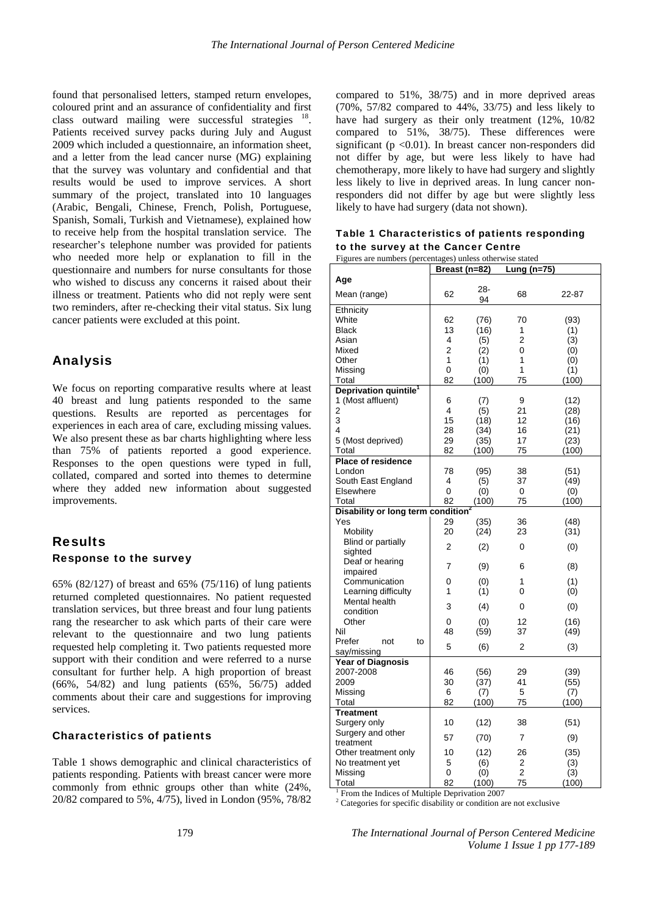found that personalised letters, stamped return envelopes, coloured print and an assurance of confidentiality and first class outward mailing were successful strategies <sup>18</sup>. Patients received survey packs during July and August 2009 which included a questionnaire, an information sheet, and a letter from the lead cancer nurse (MG) explaining that the survey was voluntary and confidential and that results would be used to improve services. A short summary of the project, translated into 10 languages (Arabic, Bengali, Chinese, French, Polish, Portuguese, Spanish, Somali, Turkish and Vietnamese), explained how to receive help from the hospital translation service. The researcher's telephone number was provided for patients who needed more help or explanation to fill in the questionnaire and numbers for nurse consultants for those who wished to discuss any concerns it raised about their illness or treatment. Patients who did not reply were sent two reminders, after re-checking their vital status. Six lung cancer patients were excluded at this point.

# Analysis

We focus on reporting comparative results where at least 40 breast and lung patients responded to the same questions. Results are reported as percentages for experiences in each area of care, excluding missing values. We also present these as bar charts highlighting where less than 75% of patients reported a good experience. Responses to the open questions were typed in full, collated, compared and sorted into themes to determine where they added new information about suggested improvements.

# Results Response to the survey

65% (82/127) of breast and 65% (75/116) of lung patients returned completed questionnaires. No patient requested translation services, but three breast and four lung patients rang the researcher to ask which parts of their care were relevant to the questionnaire and two lung patients requested help completing it. Two patients requested more support with their condition and were referred to a nurse consultant for further help. A high proportion of breast (66%, 54/82) and lung patients (65%, 56/75) added comments about their care and suggestions for improving services.

# Characteristics of patients

Table 1 shows demographic and clinical characteristics of patients responding. Patients with breast cancer were more commonly from ethnic groups other than white (24%, 20/82 compared to 5%, 4/75), lived in London (95%, 78/82

compared to 51%, 38/75) and in more deprived areas (70%, 57/82 compared to 44%, 33/75) and less likely to have had surgery as their only treatment (12%, 10/82 compared to 51%, 38/75). These differences were significant ( $p \le 0.01$ ). In breast cancer non-responders did not differ by age, but were less likely to have had chemotherapy, more likely to have had surgery and slightly less likely to live in deprived areas. In lung cancer nonresponders did not differ by age but were slightly less likely to have had surgery (data not shown).

#### Table 1 Characteristics of patients responding to the survey at the Cancer Centre

| Figures are numbers (percentages) unless otherwise stated |                |       |                |       |  |
|-----------------------------------------------------------|----------------|-------|----------------|-------|--|
|                                                           | Breast (n=82)  |       | Lung (n=75)    |       |  |
| Age                                                       |                |       |                |       |  |
|                                                           |                | 28-   |                |       |  |
| Mean (range)                                              | 62             | 94    | 68             | 22-87 |  |
| Ethnicity                                                 |                |       |                |       |  |
| White                                                     | 62             | (76)  | 70             | (93)  |  |
| <b>Black</b>                                              | 13             | (16)  | 1              | (1)   |  |
| Asian                                                     | 4              | (5)   | $\overline{2}$ | (3)   |  |
| Mixed                                                     | $\overline{2}$ | (2)   | 0              | (0)   |  |
| Other                                                     | 1              | (1)   | 1              | (0)   |  |
| Missing                                                   | 0              | (0)   | 1              | (1)   |  |
| Total                                                     | 82             | (100) | 75             | (100) |  |
|                                                           |                |       |                |       |  |
| Deprivation quintile <sup>1</sup>                         |                |       |                |       |  |
| 1 (Most affluent)                                         | 6              | (7)   | 9              | (12)  |  |
| 2                                                         | 4              | (5)   | 21             | (28)  |  |
| 3                                                         | 15             | (18)  | 12             | (16)  |  |
| 4                                                         | 28             | (34)  | 16             | (21)  |  |
| 5 (Most deprived)                                         | 29             | (35)  | 17             | (23)  |  |
| Total                                                     | 82             | (100) | 75             | (100) |  |
| <b>Place of residence</b>                                 |                |       |                |       |  |
| London                                                    | 78             | (95)  | 38             | (51)  |  |
| South East England                                        | 4              | (5)   | 37             | (49)  |  |
| Elsewhere                                                 | 0              | (0)   | 0              | (0)   |  |
| Total                                                     | 82             | (100) | 75             | (100) |  |
| Disability or long term condition                         |                |       |                |       |  |
| Yes                                                       | 29             | (35)  | 36             | (48)  |  |
| Mobility                                                  | 20             | (24)  | 23             | (31)  |  |
| Blind or partially                                        |                |       |                |       |  |
| sighted                                                   | 2              | (2)   | 0              | (0)   |  |
| Deaf or hearing                                           |                |       |                |       |  |
| impaired                                                  | 7              | (9)   | 6              | (8)   |  |
| Communication                                             | 0              | (0)   | 1              | (1)   |  |
|                                                           | 1              |       | 0              |       |  |
| Learning difficulty                                       |                | (1)   |                | (0)   |  |
| Mental health                                             | 3              | (4)   | 0              | (0)   |  |
| condition                                                 |                |       |                |       |  |
| Other                                                     | 0              | (0)   | 12             | (16)  |  |
| Nil                                                       | 48             | (59)  | 37             | (49)  |  |
| Prefer<br>not<br>to                                       | 5              | (6)   | 2              | (3)   |  |
| say/missing                                               |                |       |                |       |  |
| <b>Year of Diagnosis</b>                                  |                |       |                |       |  |
| 2007-2008                                                 | 46             | (56)  | 29             | (39)  |  |
| 2009                                                      | 30             | (37)  | 41             | (55)  |  |
| Missing                                                   | 6              | (7)   | 5              | (7)   |  |
| Total                                                     | 82             | (100) | 75             | (100) |  |
| <b>Treatment</b>                                          |                |       |                |       |  |
| Surgery only                                              | 10             | (12)  | 38             | (51)  |  |
| Surgery and other                                         |                |       |                |       |  |
| treatment                                                 | 57             | (70)  | 7              | (9)   |  |
| Other treatment only                                      | 10             | (12)  | 26             | (35)  |  |
| No treatment yet                                          | 5              | (6)   | 2              | (3)   |  |
| Missing                                                   | 0              | (0)   | 2              | (3)   |  |
| Total                                                     | 82             | (100) | 75             | (100) |  |

<sup>1</sup> From the Indices of Multiple Deprivation 2007

2 Categories for specific disability or condition are not exclusive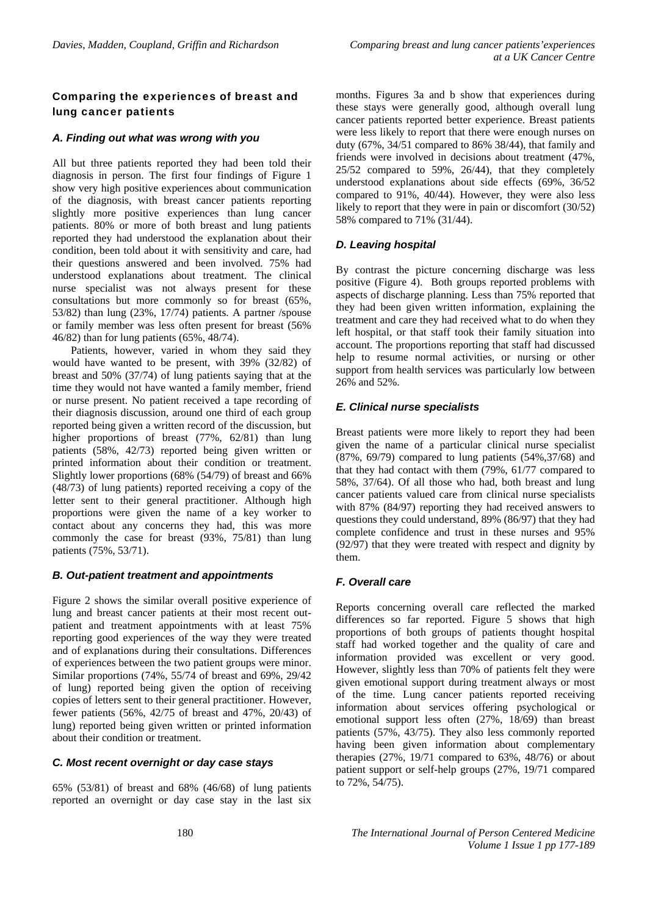# Comparing the experiences of breast and lung cancer patients

#### *A. Finding out what was wrong with you*

All but three patients reported they had been told their diagnosis in person. The first four findings of Figure 1 show very high positive experiences about communication of the diagnosis, with breast cancer patients reporting slightly more positive experiences than lung cancer patients. 80% or more of both breast and lung patients reported they had understood the explanation about their condition, been told about it with sensitivity and care, had their questions answered and been involved. 75% had understood explanations about treatment. The clinical nurse specialist was not always present for these consultations but more commonly so for breast (65%, 53/82) than lung (23%, 17/74) patients. A partner /spouse or family member was less often present for breast (56% 46/82) than for lung patients (65%, 48/74).

Patients, however, varied in whom they said they would have wanted to be present, with 39% (32/82) of breast and 50% (37/74) of lung patients saying that at the time they would not have wanted a family member, friend or nurse present. No patient received a tape recording of their diagnosis discussion, around one third of each group reported being given a written record of the discussion, but higher proportions of breast (77%, 62/81) than lung patients (58%, 42/73) reported being given written or printed information about their condition or treatment. Slightly lower proportions (68% (54/79) of breast and 66% (48/73) of lung patients) reported receiving a copy of the letter sent to their general practitioner. Although high proportions were given the name of a key worker to contact about any concerns they had, this was more commonly the case for breast (93%, 75/81) than lung patients (75%, 53/71).

#### *B. Out-patient treatment and appointments*

Figure 2 shows the similar overall positive experience of lung and breast cancer patients at their most recent outpatient and treatment appointments with at least 75% reporting good experiences of the way they were treated and of explanations during their consultations. Differences of experiences between the two patient groups were minor. Similar proportions (74%, 55/74 of breast and 69%, 29/42 of lung) reported being given the option of receiving copies of letters sent to their general practitioner. However, fewer patients (56%, 42/75 of breast and 47%, 20/43) of lung) reported being given written or printed information about their condition or treatment.

### *C. Most recent overnight or day case stays*

65% (53/81) of breast and 68% (46/68) of lung patients reported an overnight or day case stay in the last six months. Figures 3a and b show that experiences during these stays were generally good, although overall lung cancer patients reported better experience. Breast patients were less likely to report that there were enough nurses on duty (67%, 34/51 compared to 86% 38/44), that family and friends were involved in decisions about treatment (47%, 25/52 compared to 59%, 26/44), that they completely understood explanations about side effects (69%, 36/52 compared to 91%, 40/44). However, they were also less likely to report that they were in pain or discomfort (30/52) 58% compared to 71% (31/44).

# *D. Leaving hospital*

By contrast the picture concerning discharge was less positive (Figure 4). Both groups reported problems with aspects of discharge planning. Less than 75% reported that they had been given written information, explaining the treatment and care they had received what to do when they left hospital, or that staff took their family situation into account. The proportions reporting that staff had discussed help to resume normal activities, or nursing or other support from health services was particularly low between 26% and 52%.

# *E. Clinical nurse specialists*

Breast patients were more likely to report they had been given the name of a particular clinical nurse specialist (87%, 69/79) compared to lung patients (54%,37/68) and that they had contact with them (79%, 61/77 compared to 58%, 37/64). Of all those who had, both breast and lung cancer patients valued care from clinical nurse specialists with 87% (84/97) reporting they had received answers to questions they could understand, 89% (86/97) that they had complete confidence and trust in these nurses and 95% (92/97) that they were treated with respect and dignity by them.

# *F. Overall care*

Reports concerning overall care reflected the marked differences so far reported. Figure 5 shows that high proportions of both groups of patients thought hospital staff had worked together and the quality of care and information provided was excellent or very good. However, slightly less than 70% of patients felt they were given emotional support during treatment always or most of the time. Lung cancer patients reported receiving information about services offering psychological or emotional support less often (27%, 18/69) than breast patients (57%, 43/75). They also less commonly reported having been given information about complementary therapies  $(27\%, 19/71$  compared to  $63\%, 48/76$  or about patient support or self-help groups (27%, 19/71 compared to 72%, 54/75).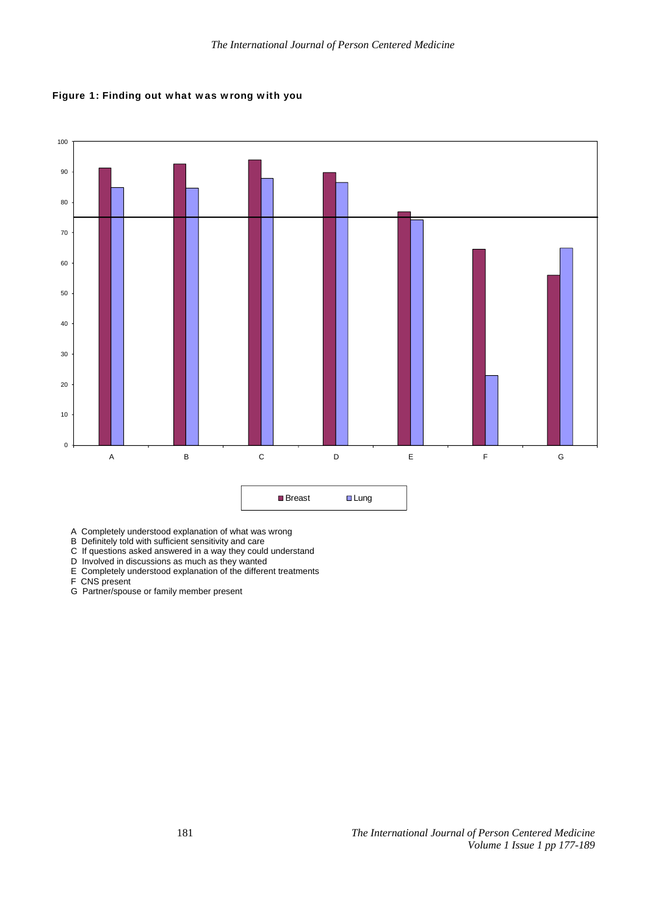



A Completely understood explanation of what was wrong

- B Definitely told with sufficient sensitivity and care
- C If questions asked answered in a way they could understand
- D Involved in discussions as much as they wanted
- E Completely understood explanation of the different treatments

F CNS present

G Partner/spouse or family member present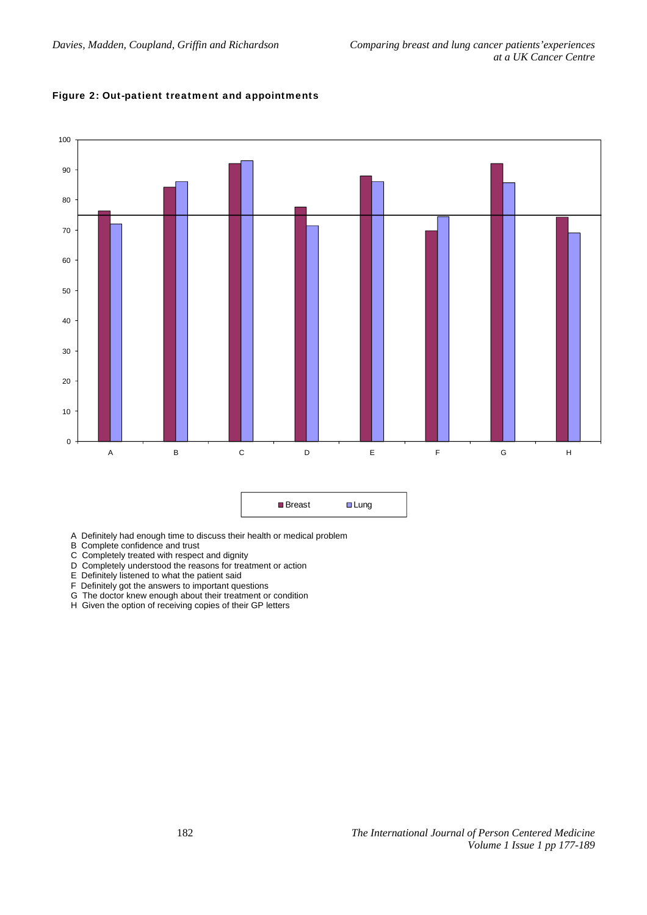## Figure 2: Out-patient treatment and appointments



| ■ Breast | $\Box$ Lung |
|----------|-------------|
|----------|-------------|

- A Definitely had enough time to discuss their health or medical problem
- B Complete confidence and trust
- C Completely treated with respect and dignity
- D Completely understood the reasons for treatment or action
- E Definitely listened to what the patient said
- F Definitely got the answers to important questions
- G The doctor knew enough about their treatment or condition
- H Given the option of receiving copies of their GP letters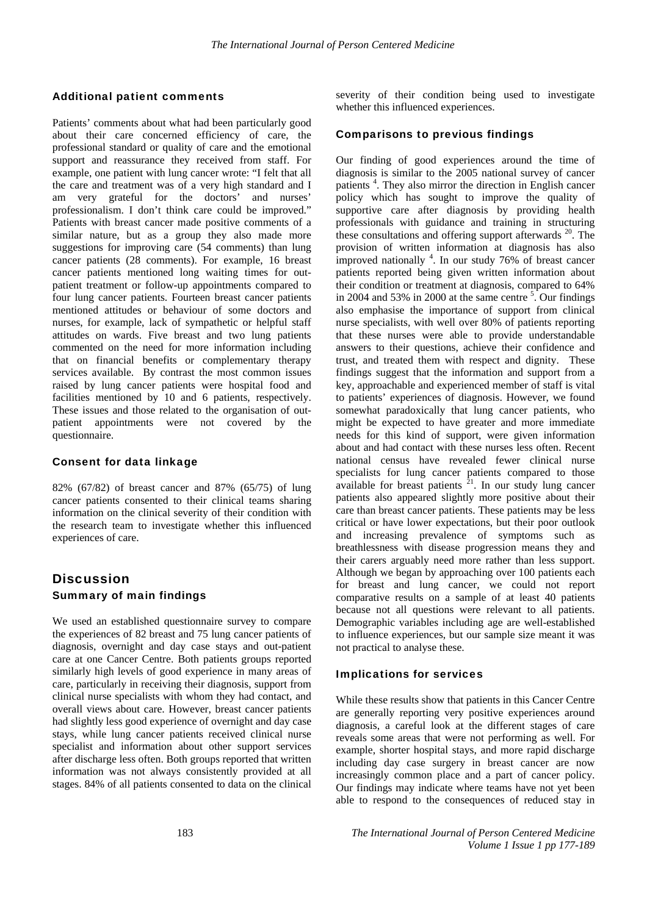#### Additional patient comments

Patients' comments about what had been particularly good about their care concerned efficiency of care, the professional standard or quality of care and the emotional support and reassurance they received from staff. For example, one patient with lung cancer wrote: "I felt that all the care and treatment was of a very high standard and I am very grateful for the doctors' and nurses' professionalism. I don't think care could be improved." Patients with breast cancer made positive comments of a similar nature, but as a group they also made more suggestions for improving care (54 comments) than lung cancer patients (28 comments). For example, 16 breast cancer patients mentioned long waiting times for outpatient treatment or follow-up appointments compared to four lung cancer patients. Fourteen breast cancer patients mentioned attitudes or behaviour of some doctors and nurses, for example, lack of sympathetic or helpful staff attitudes on wards. Five breast and two lung patients commented on the need for more information including that on financial benefits or complementary therapy services available. By contrast the most common issues raised by lung cancer patients were hospital food and facilities mentioned by 10 and 6 patients, respectively. These issues and those related to the organisation of outpatient appointments were not covered by the questionnaire.

#### Consent for data linkage

82% (67/82) of breast cancer and 87% (65/75) of lung cancer patients consented to their clinical teams sharing information on the clinical severity of their condition with the research team to investigate whether this influenced experiences of care.

# **Discussion** Summary of main findings

We used an established questionnaire survey to compare the experiences of 82 breast and 75 lung cancer patients of diagnosis, overnight and day case stays and out-patient care at one Cancer Centre. Both patients groups reported similarly high levels of good experience in many areas of care, particularly in receiving their diagnosis, support from clinical nurse specialists with whom they had contact, and overall views about care. However, breast cancer patients had slightly less good experience of overnight and day case stays, while lung cancer patients received clinical nurse specialist and information about other support services after discharge less often. Both groups reported that written information was not always consistently provided at all stages. 84% of all patients consented to data on the clinical

severity of their condition being used to investigate whether this influenced experiences.

#### Comparisons to previous findings

Our finding of good experiences around the time of diagnosis is similar to the 2005 national survey of cancer patients<sup>4</sup>. They also mirror the direction in English cancer policy which has sought to improve the quality of supportive care after diagnosis by providing health professionals with guidance and training in structuring these consultations and offering support afterwards  $^{20}$ . The provision of written information at diagnosis has also improved nationally  $4$ . In our study 76% of breast cancer patients reported being given written information about their condition or treatment at diagnosis, compared to 64% in 2004 and 53% in 2000 at the same centre  $5$ . Our findings also emphasise the importance of support from clinical nurse specialists, with well over 80% of patients reporting that these nurses were able to provide understandable answers to their questions, achieve their confidence and trust, and treated them with respect and dignity. These findings suggest that the information and support from a key, approachable and experienced member of staff is vital to patients' experiences of diagnosis. However, we found somewhat paradoxically that lung cancer patients, who might be expected to have greater and more immediate needs for this kind of support, were given information about and had contact with these nurses less often. Recent national census have revealed fewer clinical nurse specialists for lung cancer patients compared to those available for breast patients  $2^1$ . In our study lung cancer patients also appeared slightly more positive about their care than breast cancer patients. These patients may be less critical or have lower expectations, but their poor outlook and increasing prevalence of symptoms such as breathlessness with disease progression means they and their carers arguably need more rather than less support. Although we began by approaching over 100 patients each for breast and lung cancer, we could not report comparative results on a sample of at least 40 patients because not all questions were relevant to all patients. Demographic variables including age are well-established to influence experiences, but our sample size meant it was not practical to analyse these.

#### Implications for services

While these results show that patients in this Cancer Centre are generally reporting very positive experiences around diagnosis, a careful look at the different stages of care reveals some areas that were not performing as well. For example, shorter hospital stays, and more rapid discharge including day case surgery in breast cancer are now increasingly common place and a part of cancer policy. Our findings may indicate where teams have not yet been able to respond to the consequences of reduced stay in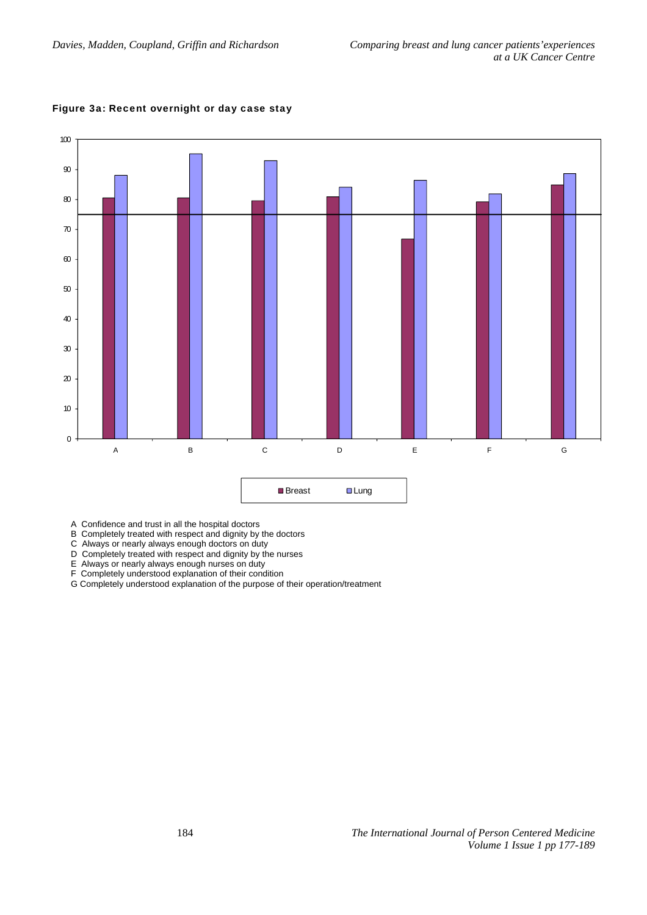

#### Figure 3a: Recent overnight or day case stay

A Confidence and trust in all the hospital doctors

B Completely treated with respect and dignity by the doctors

C Always or nearly always enough doctors on duty

D Completely treated with respect and dignity by the nurses

E Always or nearly always enough nurses on duty

F Completely understood explanation of their condition

G Completely understood explanation of the purpose of their operation/treatment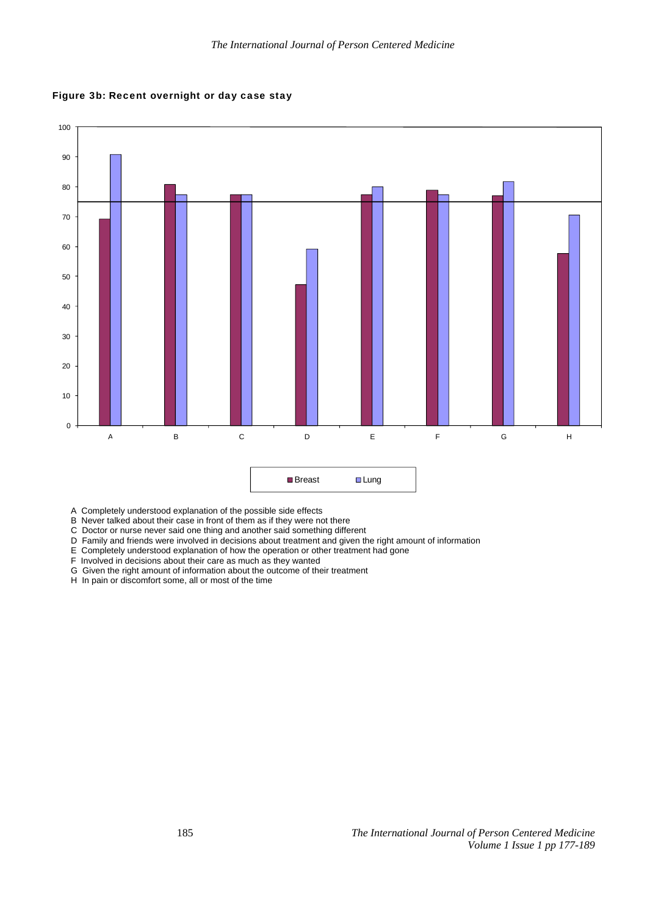



- A Completely understood explanation of the possible side effects
- B Never talked about their case in front of them as if they were not there
- C Doctor or nurse never said one thing and another said something different
- D Family and friends were involved in decisions about treatment and given the right amount of information
- E Completely understood explanation of how the operation or other treatment had gone
- F Involved in decisions about their care as much as they wanted
- G Given the right amount of information about the outcome of their treatment
- H In pain or discomfort some, all or most of the time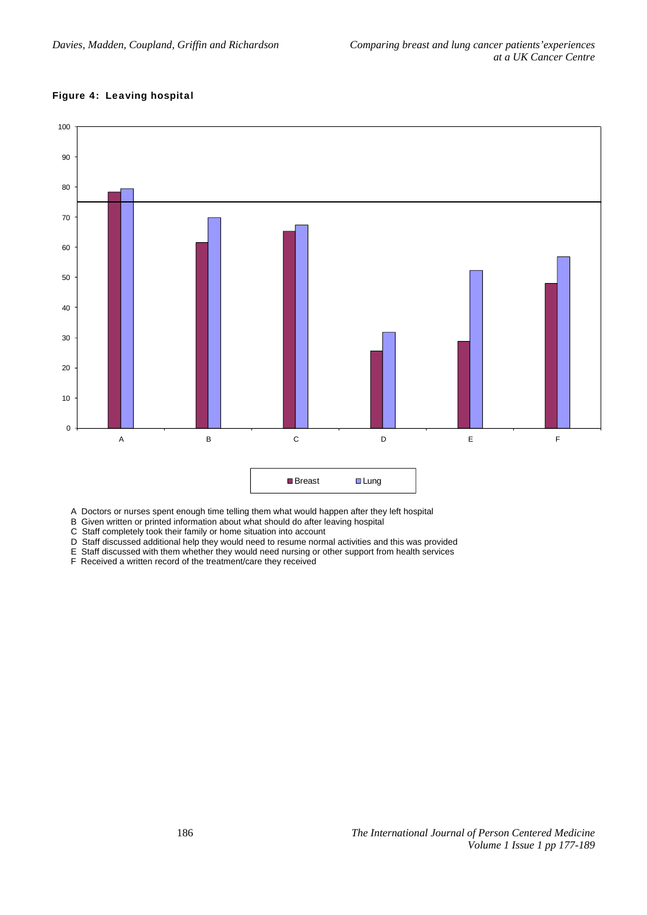## Figure 4: Leaving hospital



A Doctors or nurses spent enough time telling them what would happen after they left hospital

B Given written or printed information about what should do after leaving hospital

C Staff completely took their family or home situation into account

D Staff discussed additional help they would need to resume normal activities and this was provided

E Staff discussed with them whether they would need nursing or other support from health services

F Received a written record of the treatment/care they received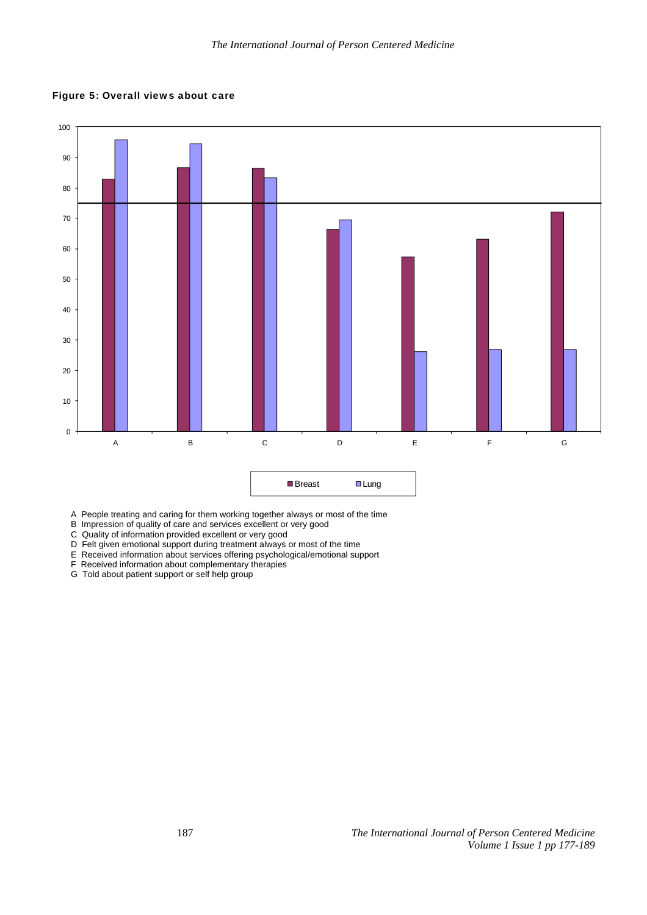Figure 5: Overall views about care



A People treating and caring for them working together always or most of the time

B Impression of quality of care and services excellent or very good

C Quality of information provided excellent or very good

- D Felt given emotional support during treatment always or most of the time
- E Received information about services offering psychological/emotional support
- F Received information about complementary therapies
- G Told about patient support or self help group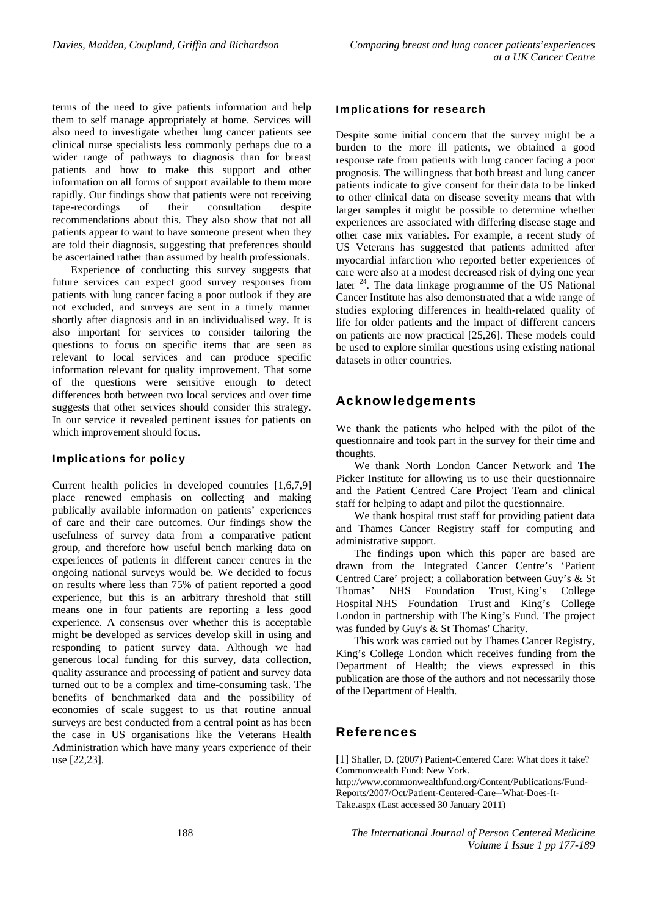terms of the need to give patients information and help them to self manage appropriately at home. Services will also need to investigate whether lung cancer patients see clinical nurse specialists less commonly perhaps due to a wider range of pathways to diagnosis than for breast patients and how to make this support and other information on all forms of support available to them more rapidly. Our findings show that patients were not receiving tape-recordings of their consultation despite recommendations about this. They also show that not all patients appear to want to have someone present when they are told their diagnosis, suggesting that preferences should be ascertained rather than assumed by health professionals.

Experience of conducting this survey suggests that future services can expect good survey responses from patients with lung cancer facing a poor outlook if they are not excluded, and surveys are sent in a timely manner shortly after diagnosis and in an individualised way. It is also important for services to consider tailoring the questions to focus on specific items that are seen as relevant to local services and can produce specific information relevant for quality improvement. That some of the questions were sensitive enough to detect differences both between two local services and over time suggests that other services should consider this strategy. In our service it revealed pertinent issues for patients on which improvement should focus.

#### Implications for policy

Current health policies in developed countries [1,6,7,9] place renewed emphasis on collecting and making publically available information on patients' experiences of care and their care outcomes. Our findings show the usefulness of survey data from a comparative patient group, and therefore how useful bench marking data on experiences of patients in different cancer centres in the ongoing national surveys would be. We decided to focus on results where less than 75% of patient reported a good experience, but this is an arbitrary threshold that still means one in four patients are reporting a less good experience. A consensus over whether this is acceptable might be developed as services develop skill in using and responding to patient survey data. Although we had generous local funding for this survey, data collection, quality assurance and processing of patient and survey data turned out to be a complex and time-consuming task. The benefits of benchmarked data and the possibility of economies of scale suggest to us that routine annual surveys are best conducted from a central point as has been the case in US organisations like the Veterans Health Administration which have many years experience of their use [22,23].

#### Implications for research

Despite some initial concern that the survey might be a burden to the more ill patients, we obtained a good response rate from patients with lung cancer facing a poor prognosis. The willingness that both breast and lung cancer patients indicate to give consent for their data to be linked to other clinical data on disease severity means that with larger samples it might be possible to determine whether experiences are associated with differing disease stage and other case mix variables. For example, a recent study of US Veterans has suggested that patients admitted after myocardial infarction who reported better experiences of care were also at a modest decreased risk of dying one year later  $24$ . The data linkage programme of the US National Cancer Institute has also demonstrated that a wide range of studies exploring differences in health-related quality of life for older patients and the impact of different cancers on patients are now practical [25,26]. These models could be used to explore similar questions using existing national datasets in other countries.

# Acknowledgements

We thank the patients who helped with the pilot of the questionnaire and took part in the survey for their time and thoughts.

We thank North London Cancer Network and The Picker Institute for allowing us to use their questionnaire and the Patient Centred Care Project Team and clinical staff for helping to adapt and pilot the questionnaire.

We thank hospital trust staff for providing patient data and Thames Cancer Registry staff for computing and administrative support.

The findings upon which this paper are based are drawn from the Integrated Cancer Centre's 'Patient Centred Care' project; a collaboration between Guy's & St Thomas' NHS Foundation Trust, King's College Hospital NHS Foundation Trust and King's College London in partnership with The King's Fund. The project was funded by Guy's & St Thomas' Charity.

This work was carried out by Thames Cancer Registry, King's College London which receives funding from the Department of Health; the views expressed in this publication are those of the authors and not necessarily those of the Department of Health.

# References

[1] Shaller, D. (2007) Patient-Centered Care: What does it take? Commonwealth Fund: New York.

http://www.commonwealthfund.org/Content/Publications/Fund-Reports/2007/Oct/Patient-Centered-Care--What-Does-It-Take.aspx (Last accessed 30 January 2011)